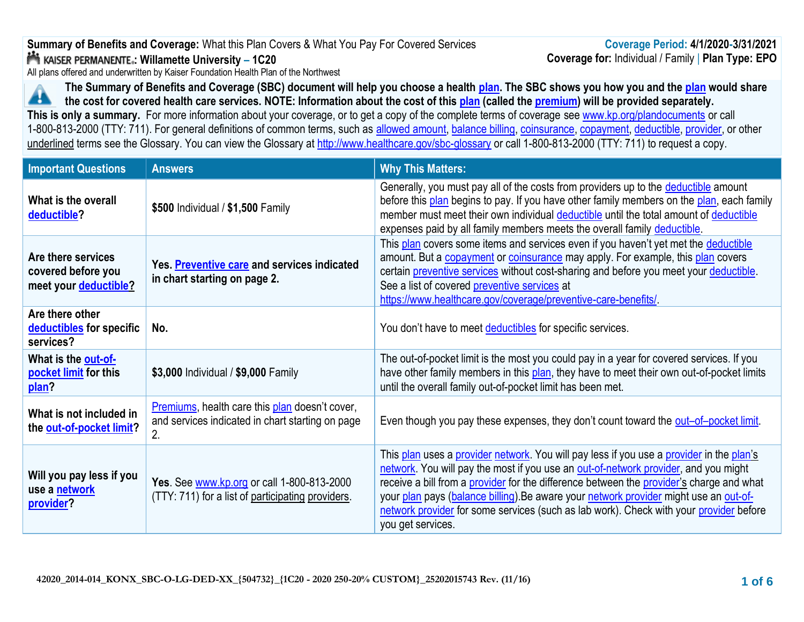# **Summary of Benefits and Coverage:** What this Plan Covers & What You Pay For Covered Services **: Willamette University – 1C20**

All plans offered and underwritten by Kaiser Foundation Health Plan of the Northwest

**The Summary of Benefits and Coverage (SBC) document will help you choose a health [plan.](https://www.healthcare.gov/sbc-glossary/#plan) The SBC shows you how you and the [plan](https://www.healthcare.gov/sbc-glossary/#plan) would share**  Æ **the cost for covered health care services. NOTE: Information about the cost of this [plan](https://www.healthcare.gov/sbc-glossary/#plan) (called the [premium\)](https://www.healthcare.gov/sbc-glossary/#premium) will be provided separately. This is only a summary.** For more information about your coverage, or to get a copy of the complete terms of coverage see [www.kp.org/plandocuments](http://www.kp.org/plandocuments) or call 1-800-813-2000 (TTY: 711). For general definitions of common terms, such as [allowed amount,](https://www.healthcare.gov/sbc-glossary/#allowed-amount) [balance billing,](https://www.healthcare.gov/sbc-glossary/#balance-billing) [coinsurance,](https://www.healthcare.gov/sbc-glossary/#coinsurance) [copayment,](https://www.healthcare.gov/sbc-glossary/#copayment) [deductible,](https://www.healthcare.gov/sbc-glossary/#deductible) [provider,](https://www.healthcare.gov/sbc-glossary/#provider) or other underlined terms see the Glossary. You can view the Glossary at <http://www.healthcare.gov/sbc-glossary> or call 1-800-813-2000 (TTY: 711) to request a copy.

| <b>Important Questions</b>                                        | <b>Answers</b>                                                                                                  | <b>Why This Matters:</b>                                                                                                                                                                                                                                                                                                                                                                                                                                                            |
|-------------------------------------------------------------------|-----------------------------------------------------------------------------------------------------------------|-------------------------------------------------------------------------------------------------------------------------------------------------------------------------------------------------------------------------------------------------------------------------------------------------------------------------------------------------------------------------------------------------------------------------------------------------------------------------------------|
| What is the overall<br>deductible?                                | \$500 Individual / \$1,500 Family                                                                               | Generally, you must pay all of the costs from providers up to the deductible amount<br>before this plan begins to pay. If you have other family members on the plan, each family<br>member must meet their own individual deductible until the total amount of deductible<br>expenses paid by all family members meets the overall family deductible.                                                                                                                               |
| Are there services<br>covered before you<br>meet your deductible? | Yes. Preventive care and services indicated<br>in chart starting on page 2.                                     | This plan covers some items and services even if you haven't yet met the deductible<br>amount. But a copayment or coinsurance may apply. For example, this plan covers<br>certain preventive services without cost-sharing and before you meet your deductible.<br>See a list of covered preventive services at<br>https://www.healthcare.gov/coverage/preventive-care-benefits/                                                                                                    |
| Are there other<br>deductibles for specific<br>services?          | No.                                                                                                             | You don't have to meet deductibles for specific services.                                                                                                                                                                                                                                                                                                                                                                                                                           |
| What is the out-of-<br>pocket limit for this<br>plan?             | \$3,000 Individual / \$9,000 Family                                                                             | The out-of-pocket limit is the most you could pay in a year for covered services. If you<br>have other family members in this plan, they have to meet their own out-of-pocket limits<br>until the overall family out-of-pocket limit has been met.                                                                                                                                                                                                                                  |
| What is not included in<br>the out-of-pocket limit?               | <b>Premiums, health care this plan doesn't cover,</b><br>and services indicated in chart starting on page<br>2. | Even though you pay these expenses, they don't count toward the out-of-pocket limit.                                                                                                                                                                                                                                                                                                                                                                                                |
| Will you pay less if you<br>use a <b>network</b><br>provider?     | Yes. See www.kp.org or call 1-800-813-2000<br>(TTY: 711) for a list of participating providers.                 | This plan uses a provider network. You will pay less if you use a provider in the plan's<br>network. You will pay the most if you use an out-of-network provider, and you might<br>receive a bill from a provider for the difference between the provider's charge and what<br>your plan pays (balance billing). Be aware your network provider might use an out-of-<br>network provider for some services (such as lab work). Check with your provider before<br>you get services. |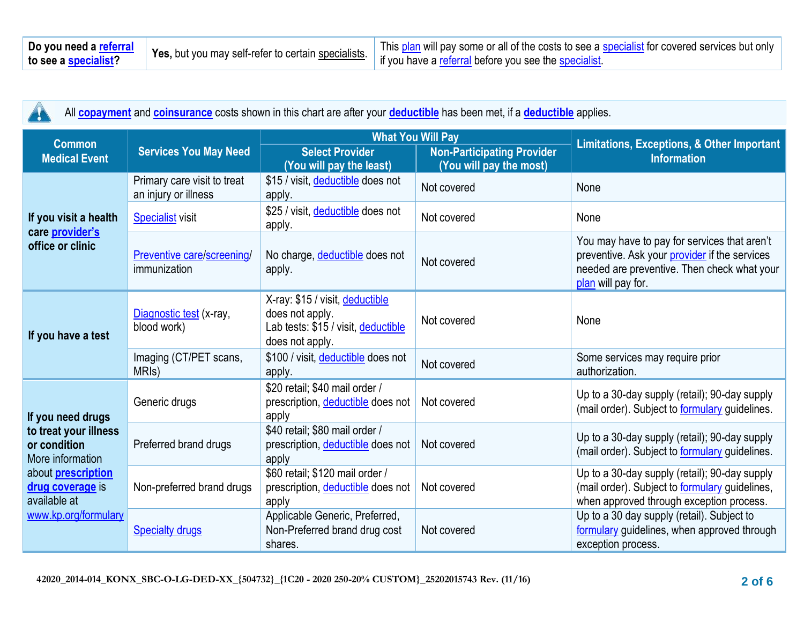| Do you need a referral | Yes, but you may self-refer to certain specialists. | This plan will pay some or all of the costs to see a specialist for covered services but only |
|------------------------|-----------------------------------------------------|-----------------------------------------------------------------------------------------------|
| to see a specialist?   |                                                     | if you have a referral before you see the specialist                                          |

| All <b>copayment</b> and <b>coinsurance</b> costs shown in this chart are after your <b>deductible</b> has been met, if a <b>deductible</b> applies.<br>Ţ |                                                     |                                                                                                              |                                                              |                                                                                                                                                                    |  |
|-----------------------------------------------------------------------------------------------------------------------------------------------------------|-----------------------------------------------------|--------------------------------------------------------------------------------------------------------------|--------------------------------------------------------------|--------------------------------------------------------------------------------------------------------------------------------------------------------------------|--|
| <b>Common</b>                                                                                                                                             |                                                     | <b>What You Will Pay</b>                                                                                     |                                                              |                                                                                                                                                                    |  |
| <b>Medical Event</b>                                                                                                                                      | <b>Services You May Need</b>                        | <b>Select Provider</b><br>(You will pay the least)                                                           | <b>Non-Participating Provider</b><br>(You will pay the most) | <b>Limitations, Exceptions, &amp; Other Important</b><br><b>Information</b>                                                                                        |  |
|                                                                                                                                                           | Primary care visit to treat<br>an injury or illness | \$15 / visit, deductible does not<br>apply.                                                                  | Not covered                                                  | None                                                                                                                                                               |  |
| If you visit a health                                                                                                                                     | <b>Specialist visit</b>                             | \$25 / visit, deductible does not<br>apply.                                                                  | Not covered                                                  | None                                                                                                                                                               |  |
| care provider's<br>office or clinic                                                                                                                       | Preventive care/screening/<br>immunization          | No charge, deductible does not<br>apply.                                                                     | Not covered                                                  | You may have to pay for services that aren't<br>preventive. Ask your provider if the services<br>needed are preventive. Then check what your<br>plan will pay for. |  |
| If you have a test                                                                                                                                        | Diagnostic test (x-ray,<br>blood work)              | X-ray: \$15 / visit, deductible<br>does not apply.<br>Lab tests: \$15 / visit, deductible<br>does not apply. | Not covered                                                  | None                                                                                                                                                               |  |
|                                                                                                                                                           | Imaging (CT/PET scans,<br>MRI <sub>s</sub> )        | \$100 / visit, deductible does not<br>apply.                                                                 | Not covered                                                  | Some services may require prior<br>authorization.                                                                                                                  |  |
| If you need drugs                                                                                                                                         | Generic drugs                                       | \$20 retail; \$40 mail order /<br>prescription, deductible does not<br>apply                                 | Not covered                                                  | Up to a 30-day supply (retail); 90-day supply<br>(mail order). Subject to <b>formulary</b> guidelines.                                                             |  |
| to treat your illness<br>or condition<br>More information<br>about <b>prescription</b><br>drug coverage is<br>available at<br>www.kp.org/formulary        | Preferred brand drugs                               | \$40 retail; \$80 mail order /<br>prescription, deductible does not<br>apply                                 | Not covered                                                  | Up to a 30-day supply (retail); 90-day supply<br>(mail order). Subject to <b>formulary</b> guidelines.                                                             |  |
|                                                                                                                                                           | Non-preferred brand drugs                           | \$60 retail; \$120 mail order /<br>prescription, deductible does not<br>apply                                | Not covered                                                  | Up to a 30-day supply (retail); 90-day supply<br>(mail order). Subject to <b>formulary</b> guidelines,<br>when approved through exception process.                 |  |
|                                                                                                                                                           | <b>Specialty drugs</b>                              | Applicable Generic, Preferred,<br>Non-Preferred brand drug cost<br>shares.                                   | Not covered                                                  | Up to a 30 day supply (retail). Subject to<br>formulary guidelines, when approved through<br>exception process.                                                    |  |

 $\wedge$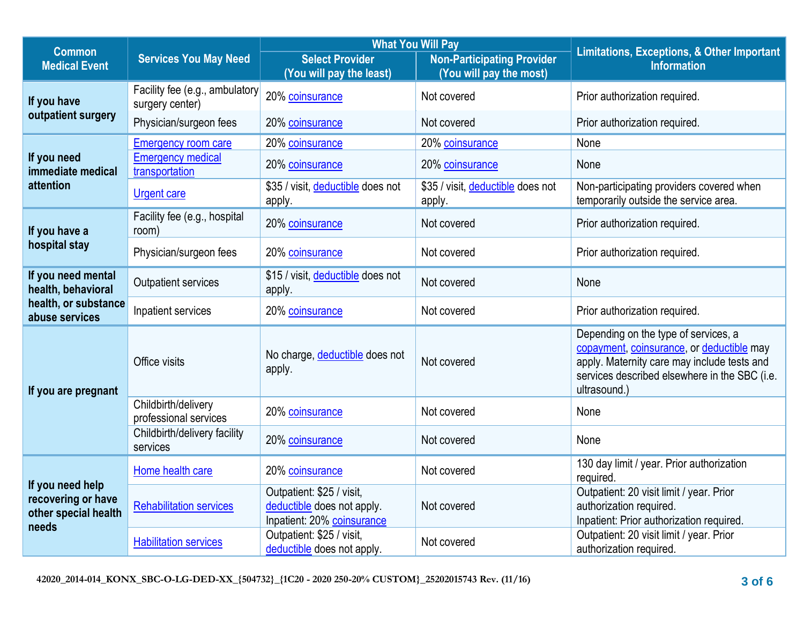| <b>Common</b>                                                           |                                                   | <b>What You Will Pay</b>                                                              |                                                              | <b>Limitations, Exceptions, &amp; Other Important</b>                                                                                                                                             |  |
|-------------------------------------------------------------------------|---------------------------------------------------|---------------------------------------------------------------------------------------|--------------------------------------------------------------|---------------------------------------------------------------------------------------------------------------------------------------------------------------------------------------------------|--|
| <b>Medical Event</b>                                                    | <b>Services You May Need</b>                      | <b>Select Provider</b><br>(You will pay the least)                                    | <b>Non-Participating Provider</b><br>(You will pay the most) | <b>Information</b>                                                                                                                                                                                |  |
| If you have                                                             | Facility fee (e.g., ambulatory<br>surgery center) | 20% coinsurance                                                                       | Not covered                                                  | Prior authorization required.                                                                                                                                                                     |  |
| outpatient surgery                                                      | Physician/surgeon fees                            | 20% coinsurance                                                                       | Not covered                                                  | Prior authorization required.                                                                                                                                                                     |  |
|                                                                         | <b>Emergency room care</b>                        | 20% coinsurance                                                                       | 20% coinsurance                                              | None                                                                                                                                                                                              |  |
| If you need<br>immediate medical                                        | <b>Emergency medical</b><br>transportation        | 20% coinsurance                                                                       | 20% coinsurance                                              | None                                                                                                                                                                                              |  |
| attention                                                               | <b>Urgent care</b>                                | \$35 / visit, deductible does not<br>apply.                                           | \$35 / visit, deductible does not<br>apply.                  | Non-participating providers covered when<br>temporarily outside the service area.                                                                                                                 |  |
| If you have a                                                           | Facility fee (e.g., hospital<br>room)             | 20% coinsurance                                                                       | Not covered                                                  | Prior authorization required.                                                                                                                                                                     |  |
| hospital stay                                                           | Physician/surgeon fees                            | 20% coinsurance                                                                       | Not covered                                                  | Prior authorization required.                                                                                                                                                                     |  |
| If you need mental<br>health, behavioral                                | <b>Outpatient services</b>                        | \$15 / visit, deductible does not<br>apply.                                           | Not covered                                                  | None                                                                                                                                                                                              |  |
| health, or substance<br>abuse services                                  | Inpatient services                                | 20% coinsurance                                                                       | Not covered                                                  | Prior authorization required.                                                                                                                                                                     |  |
| If you are pregnant                                                     | Office visits                                     | No charge, deductible does not<br>apply.                                              | Not covered                                                  | Depending on the type of services, a<br>copayment, coinsurance, or deductible may<br>apply. Maternity care may include tests and<br>services described elsewhere in the SBC (i.e.<br>ultrasound.) |  |
|                                                                         | Childbirth/delivery<br>professional services      | 20% coinsurance                                                                       | Not covered                                                  | None                                                                                                                                                                                              |  |
|                                                                         | Childbirth/delivery facility<br>services          | 20% coinsurance                                                                       | Not covered                                                  | None                                                                                                                                                                                              |  |
| If you need help<br>recovering or have<br>other special health<br>needs | Home health care                                  | 20% coinsurance                                                                       | Not covered                                                  | 130 day limit / year. Prior authorization<br>required.                                                                                                                                            |  |
|                                                                         | <b>Rehabilitation services</b>                    | Outpatient: \$25 / visit,<br>deductible does not apply.<br>Inpatient: 20% coinsurance | Not covered                                                  | Outpatient: 20 visit limit / year. Prior<br>authorization required.<br>Inpatient: Prior authorization required.                                                                                   |  |
|                                                                         | <b>Habilitation services</b>                      | Outpatient: \$25 / visit,<br>deductible does not apply.                               | Not covered                                                  | Outpatient: 20 visit limit / year. Prior<br>authorization required.                                                                                                                               |  |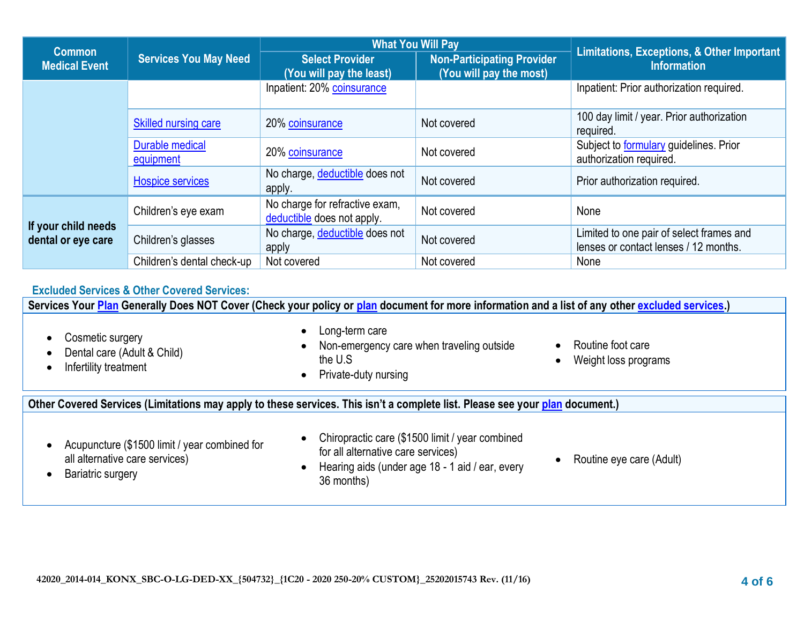| <b>Common</b>                             |                              | <b>What You Will Pay</b>                                     |                                                              | <b>Limitations, Exceptions, &amp; Other Important</b>                             |  |
|-------------------------------------------|------------------------------|--------------------------------------------------------------|--------------------------------------------------------------|-----------------------------------------------------------------------------------|--|
| <b>Medical Event</b>                      | <b>Services You May Need</b> | <b>Select Provider</b><br>(You will pay the least)           | <b>Non-Participating Provider</b><br>(You will pay the most) | <b>Information</b>                                                                |  |
|                                           |                              | Inpatient: 20% coinsurance                                   |                                                              | Inpatient: Prior authorization required.                                          |  |
|                                           | <b>Skilled nursing care</b>  | 20% coinsurance                                              | Not covered                                                  | 100 day limit / year. Prior authorization<br>required.                            |  |
|                                           | Durable medical<br>equipment | 20% coinsurance                                              | Not covered                                                  | Subject to <b>formulary</b> guidelines. Prior<br>authorization required.          |  |
|                                           | <b>Hospice services</b>      | No charge, deductible does not<br>apply.                     | Not covered                                                  | Prior authorization required.                                                     |  |
|                                           | Children's eye exam          | No charge for refractive exam,<br>deductible does not apply. | Not covered                                                  | None                                                                              |  |
| If your child needs<br>dental or eye care | Children's glasses           | No charge, deductible does not<br>apply                      | Not covered                                                  | Limited to one pair of select frames and<br>lenses or contact lenses / 12 months. |  |
|                                           | Children's dental check-up   | Not covered                                                  | Not covered                                                  | None                                                                              |  |

# **Excluded Services & Other Covered Services:**

**Services Your [Plan](https://www.healthcare.gov/sbc-glossary/#plan) Generally Does NOT Cover (Check your policy or [plan](https://www.healthcare.gov/sbc-glossary/#plan) document for more information and a list of any other [excluded services.](https://www.healthcare.gov/sbc-glossary/#excluded-services))**

- Cosmetic surgery
- Dental care (Adult & Child)
- Infertility treatment
- Long-term care
- Non-emergency care when traveling outside the U.S
- Private-duty nursing
- Routine foot care
- Weight loss programs

#### **Other Covered Services (Limitations may apply to these services. This isn't a complete list. Please see your [plan](https://www.healthcare.gov/sbc-glossary/#plan) document.)**

- Acupuncture (\$1500 limit / year combined for all alternative care services)
- Chiropractic care (\$1500 limit / year combined for all alternative care services)
- Hearing aids (under age 18 1 aid / ear, every 36 months)
- Routine eye care (Adult)

• Bariatric surgery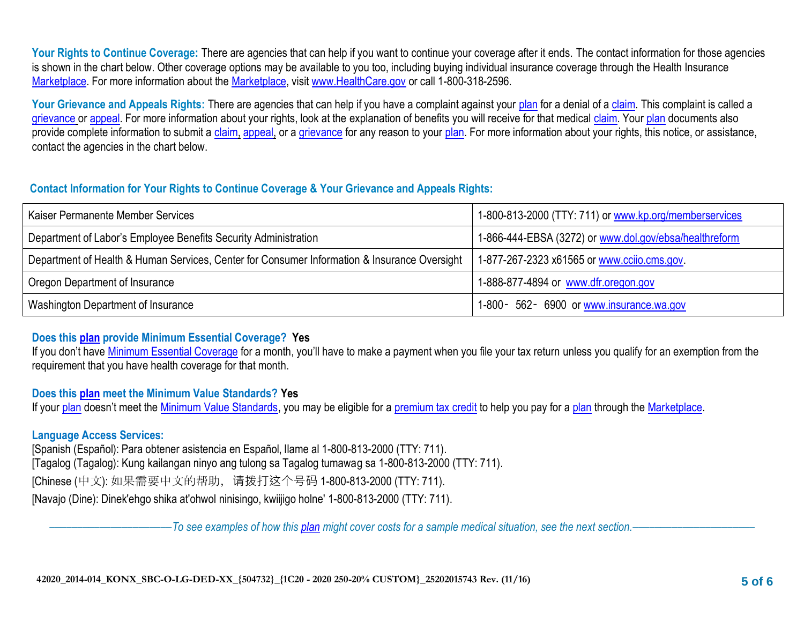Your Rights to Continue Coverage: There are agencies that can help if you want to continue your coverage after it ends. The contact information for those agencies is shown in the chart below. Other coverage options may be available to you too, including buying individual insurance coverage through the Health Insurance [Marketplace.](https://www.healthcare.gov/sbc-glossary/#marketplace) For more information about the [Marketplace,](https://www.healthcare.gov/sbc-glossary/#marketplace) visit [www.HealthCare.gov](http://www.healthcare.gov/) or call 1-800-318-2596.

Your Grievance and Appeals Rights: There are agencies that can help if you have a complaint against your [plan](https://www.healthcare.gov/sbc-glossary/#plan) for a denial of a [claim.](https://www.healthcare.gov/sbc-glossary/#claim) This complaint is called a [grievance](https://www.healthcare.gov/sbc-glossary/#grievance) or [appeal.](https://www.healthcare.gov/sbc-glossary/#appeal) For more information about your rights, look at the explanation of benefits you will receive for that medical [claim.](https://www.healthcare.gov/sbc-glossary/#claim) Your [plan](https://www.healthcare.gov/sbc-glossary/#plan) documents also provide complete information to submit a [claim,](https://www.healthcare.gov/sbc-glossary/#claim) [appeal,](https://www.healthcare.gov/sbc-glossary/#appeal) or a [grievance](https://www.healthcare.gov/sbc-glossary/#grievance) for any reason to your [plan.](https://www.healthcare.gov/sbc-glossary/#plan) For more information about your rights, this notice, or assistance, contact the agencies in the chart below.

## **Contact Information for Your Rights to Continue Coverage & Your Grievance and Appeals Rights:**

| Kaiser Permanente Member Services                                                            | 1-800-813-2000 (TTY: 711) or www.kp.org/memberservices |
|----------------------------------------------------------------------------------------------|--------------------------------------------------------|
| Department of Labor's Employee Benefits Security Administration                              | 1-866-444-EBSA (3272) or www.dol.gov/ebsa/healthreform |
| Department of Health & Human Services, Center for Consumer Information & Insurance Oversight | 1-877-267-2323 x61565 or www.ccijo.cms.gov             |
| Oregon Department of Insurance                                                               | 1-888-877-4894 or www.dfr.oregon.gov                   |
| Washington Department of Insurance                                                           | 1-800 - 562 - 6900 or www.insurance.wa.gov             |

# **Does this [plan](https://www.healthcare.gov/sbc-glossary/#plan) provide Minimum Essential Coverage? Yes**

If you don't have [Minimum Essential Coverage](https://www.healthcare.gov/sbc-glossary/#minimum-essential-coverage) for a month, you'll have to make a payment when you file your tax return unless you qualify for an exemption from the requirement that you have health coverage for that month.

### **Does this [plan](https://www.healthcare.gov/sbc-glossary/#plan) meet the Minimum Value Standards? Yes**

If your [plan](https://www.healthcare.gov/sbc-glossary/#plan) doesn't meet the [Minimum Value Standards,](https://www.healthcare.gov/sbc-glossary/#minimum-value-standard) you may be eligible for a [premium tax credit](https://www.healthcare.gov/sbc-glossary/#premium-tax-credits) to help you pay for a [plan](https://www.healthcare.gov/sbc-glossary/#plan) through the [Marketplace.](https://www.healthcare.gov/sbc-glossary/#marketplace)

# **Language Access Services:**

[Spanish (Español): Para obtener asistencia en Español, llame al 1-800-813-2000 (TTY: 711). [Tagalog (Tagalog): Kung kailangan ninyo ang tulong sa Tagalog tumawag sa 1-800-813-2000 (TTY: 711). [Chinese (中文): 如果需要中文的帮助,请拨打这个号码 1-800-813-2000 (TTY: 711). [Navajo (Dine): Dinek'ehgo shika at'ohwol ninisingo, kwiijigo holne' 1-800-813-2000 (TTY: 711).

––––––––––––––––––––––*To see examples of how this [plan](https://www.healthcare.gov/sbc-glossary/#plan) might cover costs for a sample medical situation, see the next section.–––––––––––*–––––––––––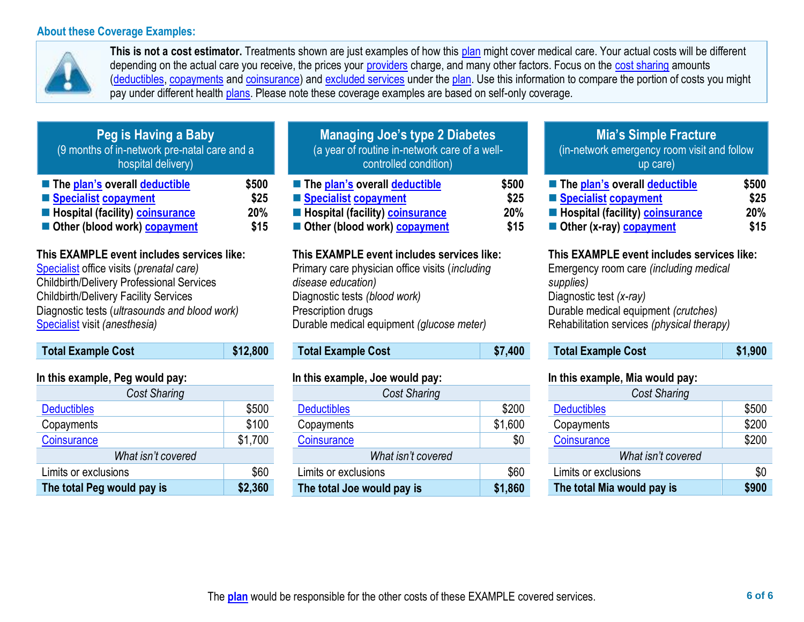#### **About these Coverage Examples:**



**This is not a cost estimator.** Treatments shown are just examples of how this [plan](https://www.healthcare.gov/sbc-glossary/#plan) might cover medical care. Your actual costs will be different depending on the actual care you receive, the prices your [providers](https://www.healthcare.gov/sbc-glossary/#provider) charge, and many other factors. Focus on the [cost sharing](https://www.healthcare.gov/sbc-glossary/#cost-sharing) amounts [\(deductibles,](https://www.healthcare.gov/sbc-glossary/#deductible) [copayments](https://www.healthcare.gov/sbc-glossary/#copayment) and [coinsurance\)](https://www.healthcare.gov/sbc-glossary/#coinsurance) and [excluded services](https://www.healthcare.gov/sbc-glossary/#excluded-services) under the [plan.](https://www.healthcare.gov/sbc-glossary/#plan) Use this information to compare the portion of costs you might pay under different health [plans.](https://www.healthcare.gov/sbc-glossary/#plan) Please note these coverage examples are based on self-only coverage.

| Peg is Having a Baby<br>(9 months of in-network pre-natal care and a<br>hospital delivery)                                                               |  |
|----------------------------------------------------------------------------------------------------------------------------------------------------------|--|
| \$500<br>The plan's overall deductible<br>Specialist copayment<br>\$25<br>Hospital (facility) coinsurance<br>20%<br>Other (blood work) copayment<br>\$15 |  |

## **This EXAMPLE event includes services like:**

[Specialist](https://www.healthcare.gov/sbc-glossary/#specialist) office visits (*prenatal care)* Childbirth/Delivery Professional Services Childbirth/Delivery Facility Services Diagnostic tests (*ultrasounds and blood work)* [Specialist](https://www.healthcare.gov/sbc-glossary/#specialist) visit *(anesthesia)* 

| <b>Total Example Cost</b> | \$12,800 |
|---------------------------|----------|
|                           |          |

### **In this example, Peg would pay:**

| <b>Cost Sharing</b>        |         |  |
|----------------------------|---------|--|
| <b>Deductibles</b>         | \$500   |  |
| Copayments                 | \$100   |  |
| Coinsurance                | \$1,700 |  |
| What isn't covered         |         |  |
| Limits or exclusions       | \$60    |  |
| The total Peg would pay is | \$2,360 |  |

| <b>Managing Joe's type 2 Diabetes</b><br>(a year of routine in-network care of a well-<br>controlled condition) |       |  |
|-----------------------------------------------------------------------------------------------------------------|-------|--|
| ■ The plan's overall deductible                                                                                 | \$500 |  |
| Specialist copayment                                                                                            | \$25  |  |
| <b>Exercise Hospital (facility) coinsurance</b>                                                                 | 20%   |  |
| Other (blood work) copayment                                                                                    | \$15  |  |

#### **This EXAMPLE event includes services like:**

Primary care physician office visits (*including disease education)* Diagnostic tests *(blood work)* Prescription drugs Durable medical equipment *(glucose meter)* 

# **Total Example Cost \$7,400**

### **In this example, Joe would pay:**

| <b>Cost Sharing</b>        |         |  |
|----------------------------|---------|--|
| <b>Deductibles</b>         | \$200   |  |
| Copayments                 | \$1,600 |  |
| Coinsurance                | \$0     |  |
| What isn't covered         |         |  |
| Limits or exclusions       | \$60    |  |
| The total Joe would pay is | \$1,860 |  |

# **Mia's Simple Fracture**

(in-network emergency room visit and follow up care)

| ■ The plan's overall deductible                 | \$500 |
|-------------------------------------------------|-------|
| Specialist copayment                            | \$25  |
| <b>E</b> Hospital (facility) <b>coinsurance</b> | 20%   |
| Other (x-ray) copayment                         | \$15  |

#### **This EXAMPLE event includes services like:**

Emergency room care *(including medical supplies)* Diagnostic test *(x-ray)* Durable medical equipment *(crutches)* Rehabilitation services *(physical therapy)*

**Total Example Cost \$1,900** 

## **In this example, Mia would pay:**

| <b>Cost Sharing</b>        |       |
|----------------------------|-------|
| <b>Deductibles</b>         | \$500 |
| Copayments                 | \$200 |
| Coinsurance                | \$200 |
| What isn't covered         |       |
| Limits or exclusions       | \$0   |
| The total Mia would pay is | \$900 |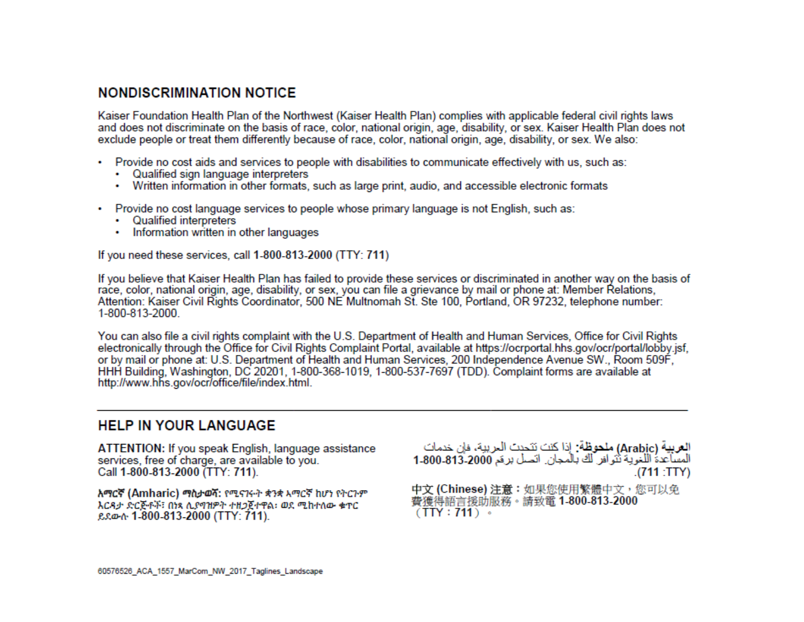# **NONDISCRIMINATION NOTICE**

Kaiser Foundation Health Plan of the Northwest (Kaiser Health Plan) complies with applicable federal civil rights laws and does not discriminate on the basis of race, color, national origin, age, disability, or sex. Kaiser Health Plan does not exclude people or treat them differently because of race, color, national origin, age, disability, or sex. We also:

- Provide no cost aids and services to people with disabilities to communicate effectively with us, such as:
	- Qualified sign language interpreters
	- Written information in other formats, such as large print, audio, and accessible electronic formats
- Provide no cost language services to people whose primary language is not English, such as:
	- Qualified interpreters
	- Information written in other languages

If you need these services, call 1-800-813-2000 (TTY: 711)

If you believe that Kaiser Health Plan has failed to provide these services or discriminated in another way on the basis of race, color, national origin, age, disability, or sex, you can file a grievance by mail or phone at: Member Relations, Attention: Kaiser Civil Rights Coordinator, 500 NE Multnomah St. Ste 100, Portland, OR 97232, telephone number: 1-800-813-2000.

You can also file a civil rights complaint with the U.S. Department of Health and Human Services, Office for Civil Rights electronically through the Office for Civil Rights Complaint Portal, available at https://ocrportal.hhs.gov/ocr/portal/lobby.jsf, or by mail or phone at: U.S. Department of Health and Human Services, 200 Independence Avenue SW., Room 509F, HHH Building, Washington, DC 20201, 1-800-368-1019, 1-800-537-7697 (TDD). Complaint forms are available at http://www.hhs.gov/ocr/office/file/index.html.

# **HELP IN YOUR LANGUAGE**

ATTENTION: If you speak English, language assistance services, free of charge, are available to you. Call 1-800-813-2000 (TTY: 711).

አማርኛ (Amharic) ማስታወሻ: የሚናገሩት ቋንቋ አማርኛ ከሆነ የትርጉም እርዳታ ድርጅቶች፣ በነጻ ሊያባዝዎት ተዘጋጀተዋል፡ ወደ ሚከተለው ቁጥር ይደውሱ 1-800-813-2000 (TTY: 711).

العربية (Arabic) ملحوظة: إذا كنت تتحدث الحريبة، فإن خدمات المساعدة اللغوية تُتوافر لك بالمجان. اتصل برعَم 2000-313-1-800 .(711:TTY)

中文 (Chinese) 注意:如果您使用繁體中文,您可以免 費獲得語言援助服務。請致電 1-800-813-2000  $(TTY: 711)$